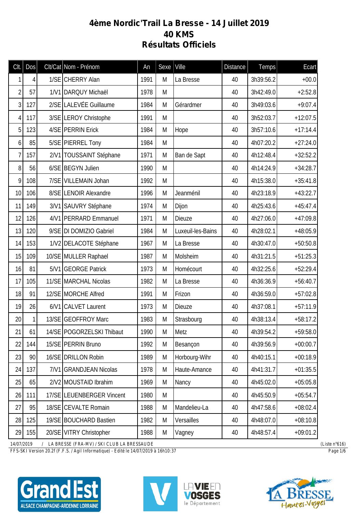## **4ème Nordic'Trail La Bresse - 14 Juillet 2019 40 KMS Résultats Officiels**

| Clt.           | Dos          |      | Clt/Cat Nom - Prénom      | An   | Sexe | Ville             | <b>Distance</b> | <b>Temps</b> | <b>Ecart</b> |
|----------------|--------------|------|---------------------------|------|------|-------------------|-----------------|--------------|--------------|
|                | 4            |      | 1/SE CHERRY Alan          | 1991 | M    | La Bresse         | 40              | 3h39:56.2    | $+00.0$      |
| 2              | 57           |      | 1/V1 DARQUY Michaël       | 1978 | M    |                   | 40              | 3h42:49.0    | $+2:52.8$    |
| 3 <sup>1</sup> | 127          |      | 2/SE LALEVÉE Guillaume    | 1984 | M    | Gérardmer         | 40              | 3h49:03.6    | $+9:07.4$    |
| 4              | 117          |      | 3/SE LEROY Christophe     | 1991 | M    |                   | 40              | 3h52:03.7    | $+12:07.5$   |
| 5 <sup>1</sup> | 123          |      | 4/SE PERRIN Erick         | 1984 | M    | Hope              | 40              | 3h57:10.6    | $+17:14.4$   |
| $\overline{6}$ | 85           |      | 5/SE PIERREL Tony         | 1984 | M    |                   | 40              | 4h07:20.2    | $+27:24.0$   |
| 7              | 157          |      | 2/V1 TOUSSAINT Stéphane   | 1971 | M    | Ban de Sapt       | 40              | 4h12:48.4    | $+32:52.2$   |
| 8 <sup>1</sup> | 56           |      | 6/SE BEGYN Julien         | 1990 | M    |                   | 40              | 4h14:24.9    | $+34:28.7$   |
| 9              | 108          |      | 7/SE VILLEMAIN Johan      | 1992 | M    |                   | 40              | 4h15:38.0    | $+35:41.8$   |
| 10             | 106          |      | 8/SE LENOIR Alexandre     | 1996 | M    | Jeanménil         | 40              | 4h23:18.9    | $+43:22.7$   |
| 11             | 149          |      | 3/V1 SAUVRY Stéphane      | 1974 | M    | Dijon             | 40              | 4h25:43.6    | $+45:47.4$   |
| 12             | 126          |      | 4/V1 PERRARD Emmanuel     | 1971 | M    | Dieuze            | 40              | 4h27:06.0    | $+47:09.8$   |
| 13             | 120          |      | 9/SE DI DOMIZIO Gabriel   | 1984 | M    | Luxeuil-les-Bains | 40              | 4h28:02.1    | $+48:05.9$   |
| 14             | 153          |      | 1/V2 DELACOTE Stéphane    | 1967 | M    | La Bresse         | 40              | 4h30:47.0    | $+50:50.8$   |
| 15             | 109          |      | 10/SE MULLER Raphael      | 1987 | M    | Molsheim          | 40              | 4h31:21.5    | $+51:25.3$   |
| 16             | 81           |      | 5/V1 GEORGE Patrick       | 1973 | M    | Homécourt         | 40              | 4h32:25.6    | $+52:29.4$   |
| 17             | 105          |      | 11/SE MARCHAL Nicolas     | 1982 | M    | La Bresse         | 40              | 4h36:36.9    | $+56:40.7$   |
| 18             | 91           |      | 12/SE MORCHE Alfred       | 1991 | M    | Frizon            | 40              | 4h36:59.0    | $+57:02.8$   |
| 19             | 26           |      | 6/V1 CALVET Laurent       | 1973 | M    | Dieuze            | 40              | 4h37:08.1    | $+57:11.9$   |
| 20             | $\mathbf{1}$ |      | 13/SE GEOFFROY Marc       | 1983 | M    | Strasbourg        | 40              | 4h38:13.4    | $+58:17.2$   |
| 21             | 61           |      | 14/SE POGORZELSKI Thibaut | 1990 | Μ    | Metz              | 40              | 4h39:54.2    | $+59:58.0$   |
| 22             | 144          |      | 15/SE PERRIN Bruno        | 1992 | M    | Besançon          | 40              | 4h39:56.9    | $+00:00.7$   |
| 23             | 90           |      | 16/SE DRILLON Robin       | 1989 | M    | Horbourg-Wihr     | 40              | 4h40:15.1    | $+00:18.9$   |
| 24             | 137          | 7/V1 | <b>GRANDJEAN Nicolas</b>  | 1978 | M    | Haute-Amance      | 40              | 4h41:31.7    | $+01:35.5$   |
| 25             | 65           |      | 2/V2 MOUSTAID Ibrahim     | 1969 | M    | Nancy             | 40              | 4h45:02.0    | $+05:05.8$   |
| 26             | 111          |      | 17/SE LEUENBERGER Vincent | 1980 | M    |                   | 40              | 4h45:50.9    | $+05:54.7$   |
| 27             | 95           |      | 18/SE CEVALTE Romain      | 1988 | M    | Mandelieu-La      | 40              | 4h47:58.6    | $+08:02.4$   |
| 28             | 125          |      | 19/SE BOUCHARD Bastien    | 1982 | M    | Versailles        | 40              | 4h48:07.0    | $+08:10.8$   |
| 29             | 155          |      | 20/SE VITRY Christopher   | 1988 | M    | Vagney            | 40              | 4h48:57.4    | $+09:01.2$   |

*14/07/2019 / LA BRESSE (FRA-MV) / SKI CLUB LA BRESSAUDE (Liste n°616)*

*FFS-SKI Version 20.2f (F.F.S. / Agil Informatique) - Edité le 14/07/2019 à 16h10:37 Page 1/6*







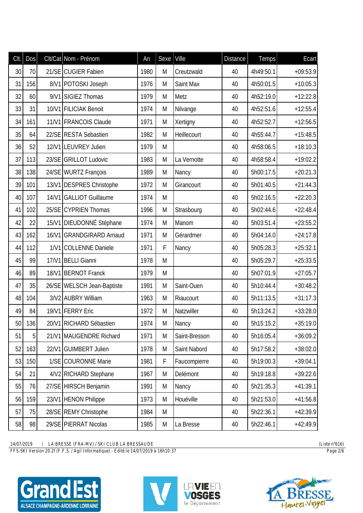| Clt. | Dos | Clt/Cat Nom - Prénom       | An   | Sexe | Ville         | <b>Distance</b> | Temps     | Ecart      |
|------|-----|----------------------------|------|------|---------------|-----------------|-----------|------------|
| 30   | 70  | 21/SE CUGIER Fabien        | 1980 | M    | Creutzwald    | 40              | 4h49:50.1 | $+09:53.9$ |
| 31   | 156 | 8/V1 POTOSKI Joseph        | 1976 | M    | Saint Max     | 40              | 4h50:01.5 | $+10:05.3$ |
| 32   | 60  | 9/V1 SIGIEZ Thomas         | 1979 | M    | Metz          | 40              | 4h52:19.0 | $+12:22.8$ |
| 33   | 31  | 10/V1 FILICIAK Benoit      | 1974 | M    | Nilvange      | 40              | 4h52:51.6 | $+12:55.4$ |
| 34   | 161 | 11/V1 FRANCOIS Claude      | 1971 | M    | Xertigny      | 40              | 4h52:52.7 | $+12:56.5$ |
| 35   | 64  | 22/SE RESTA Sebastien      | 1982 | M    | Heillecourt   | 40              | 4h55:44.7 | $+15:48.5$ |
| 36   | 52  | 12/V1 LEUVREY Julien       | 1979 | M    |               | 40              | 4h58:06.5 | $+18:10.3$ |
| 37   | 113 | 23/SE GRILLOT Ludovic      | 1983 | M    | La Vernotte   | 40              | 4h58:58.4 | $+19:02.2$ |
| 38   | 138 | 24/SE WURTZ François       | 1989 | M    | Nancy         | 40              | 5h00:17.5 | $+20:21.3$ |
| 39   | 101 | 13/V1 DESPRES Christophe   | 1972 | M    | Girancourt    | 40              | 5h01:40.5 | $+21:44.3$ |
| 40   | 107 | 14/V1 GALLIOT Guillaume    | 1974 | M    |               | 40              | 5h02:16.5 | $+22:20.3$ |
| 41   | 102 | 25/SE CYPRIEN Thomas       | 1996 | M    | Strasbourg    | 40              | 5h02:44.6 | $+22:48.4$ |
| 42   | 22  | 15/V1 DIEUDONNÉ Stéphane   | 1974 | M    | Manom         | 40              | 5h03:51.4 | $+23:55.2$ |
| 43   | 162 | 16/V1 GRANDGIRARD Arnaud   | 1971 | M    | Gérardmer     | 40              | 5h04:14.0 | $+24:17.8$ |
| 44   | 112 | 1/V1 COLLENNE Daniele      | 1971 | F    | Nancy         | 40              | 5h05:28.3 | $+25:32.1$ |
| 45   | 99  | 17/V1 BELLI Gianni         | 1978 | M    |               | 40              | 5h05:29.7 | $+25:33.5$ |
| 46   | 89  | 18/V1 BERNOT Franck        | 1979 | M    |               | 40              | 5h07:01.9 | $+27:05.7$ |
| 47   | 35  | 26/SE WELSCH Jean-Baptiste | 1991 | M    | Saint-Ouen    | 40              | 5h10:44.4 | $+30:48.2$ |
| 48   | 104 | 3/V2 AUBRY William         | 1963 | M    | Riaucourt     | 40              | 5h11:13.5 | $+31:17.3$ |
| 49   | 84  | 19/V1 FERRY Eric           | 1972 | M    | Natzwiller    | 40              | 5h13:24.2 | $+33:28.0$ |
| 50   | 136 | 20/V1 RICHARD Sébastien    | 1974 | Μ    | Nancy         | 40              | 5h15:15.2 | $+35:19.0$ |
| 51   | 5   | 21/V1 MAUGENDRE Richard    | 1971 | M    | Saint-Bresson | 40              | 5h16:05.4 | $+36:09.2$ |
| 52   | 163 | 22/V1 GUIMBERT Julien      | 1978 | M    | Saint Nabord  | 40              | 5h17:58.2 | $+38:02.0$ |
| 53   | 150 | 1/SE COURONNE Marie        | 1981 | F    | Faucompierre  | 40              | 5h19:00.3 | $+39:04.1$ |
| 54   | 21  | 4/V2 RICHARD Stephane      | 1967 | M    | Delémont      | 40              | 5h19:18.8 | $+39:22.6$ |
| 55   | 76  | 27/SE HIRSCH Benjamin      | 1991 | M    | Nancy         | 40              | 5h21:35.3 | $+41:39.1$ |
| 56   | 159 | 23/V1 HENON Philippe       | 1973 | M    | Houéville     | 40              | 5h21:53.0 | $+41:56.8$ |
| 57   | 75  | 28/SE REMY Christophe      | 1984 | M    |               | 40              | 5h22:36.1 | $+42:39.9$ |
| 58   | 98  | 29/SE PIERRAT Nicolas      | 1985 | M    | La Bresse     | 40              | 5h22:46.1 | $+42:49.9$ |

*FFS-SKI Version 20.2f (F.F.S. / Agil Informatique) - Edité le 14/07/2019 à 16h10:37 Page 2/6*





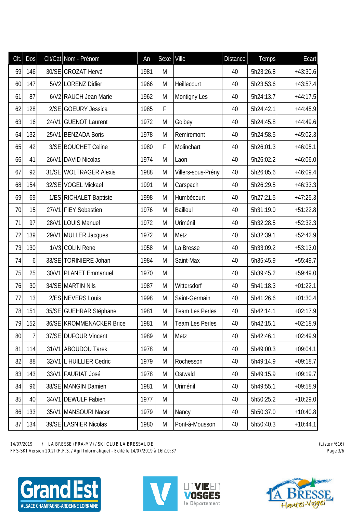| Clt. | Dos            | Clt/Cat Nom - Prénom     | An   | Sexe | Ville              | <b>Distance</b> | <b>Temps</b> | Ecart      |
|------|----------------|--------------------------|------|------|--------------------|-----------------|--------------|------------|
| 59   | 146            | 30/SE CROZAT Hervé       | 1981 | M    |                    | 40              | 5h23:26.8    | $+43:30.6$ |
| 60   | 147            | 5/V2 LORENZ Didier       | 1966 | M    | Heillecourt        | 40              | 5h23:53.6    | $+43:57.4$ |
| 61   | 87             | 6/V2 RAUCH Jean Marie    | 1962 | M    | Montigny Les       | 40              | 5h24:13.7    | $+44:17.5$ |
| 62   | 128            | 2/SE GOEURY Jessica      | 1985 | F    |                    | 40              | 5h24:42.1    | $+44:45.9$ |
| 63   | 16             | 24/V1 GUENOT Laurent     | 1972 | M    | Golbey             | 40              | 5h24:45.8    | $+44:49.6$ |
| 64   | 132            | 25/V1 BENZADA Boris      | 1978 | M    | Remiremont         | 40              | 5h24:58.5    | $+45:02.3$ |
| 65   | 42             | 3/SE BOUCHET Celine      | 1980 | F    | Molinchart         | 40              | 5h26:01.3    | $+46:05.1$ |
| 66   | 41             | 26/V1 DAVID Nicolas      | 1974 | M    | Laon               | 40              | 5h26:02.2    | $+46:06.0$ |
| 67   | 92             | 31/SE WOLTRAGER Alexis   | 1988 | M    | Villers-sous-Prény | 40              | 5h26:05.6    | $+46:09.4$ |
| 68   | 154            | 32/SE VOGEL Mickael      | 1991 | M    | Carspach           | 40              | 5h26:29.5    | $+46:33.3$ |
| 69   | 69             | 1/ES RICHALET Baptiste   | 1998 | M    | Humbécourt         | 40              | 5h27:21.5    | $+47:25.3$ |
| 70   | 15             | 27/V1 FIEY Sebastien     | 1976 | M    | <b>Bailleul</b>    | 40              | 5h31:19.0    | $+51:22.8$ |
| 71   | 97             | 28/V1 LOUIS Manuel       | 1972 | M    | Uriménil           | 40              | 5h32:28.5    | $+52:32.3$ |
| 72   | 139            | 29/V1 MULLER Jacques     | 1972 | M    | Metz               | 40              | 5h32:39.1    | $+52:42.9$ |
| 73   | 130            | 1/V3 COLIN Rene          | 1958 | M    | La Bresse          | 40              | 5h33:09.2    | $+53:13.0$ |
| 74   | 6 <sup>1</sup> | 33/SE TORINIERE Johan    | 1984 | M    | Saint-Max          | 40              | 5h35:45.9    | $+55:49.7$ |
| 75   | 25             | 30/V1 PLANET Emmanuel    | 1970 | M    |                    | 40              | 5h39:45.2    | $+59:49.0$ |
| 76   | 30             | 34/SE MARTIN Nils        | 1987 | M    | Wittersdorf        | 40              | 5h41:18.3    | $+01:22.1$ |
| 77   | 13             | 2/ES NEVERS Louis        | 1998 | M    | Saint-Germain      | 40              | 5h41:26.6    | $+01:30.4$ |
| 78   | 151            | 35/SE GUEHRAR Stéphane   | 1981 | M    | Team Les Perles    | 40              | 5h42:14.1    | $+02:17.9$ |
| 79   | 152            | 36/SE KROMMENACKER Brice | 1981 | M    | Team Les Perles    | 40              | 5h42:15.1    | $+02:18.9$ |
| 80   | $\overline{7}$ | 37/SE DUFOUR Vincent     | 1989 | M    | Metz               | 40              | 5h42:46.1    | $+02:49.9$ |
| 81   | 114            | 31/V1 ABOUDOU Tarek      | 1978 | M    |                    | 40              | 5h49:00.3    | $+09:04.1$ |
| 82   | 88             | 32/V1 L HUILLIER Cedric  | 1979 | M    | Rochesson          | 40              | 5h49:14.9    | $+09:18.7$ |
| 83   | 143            | 33/V1 FAURIAT José       | 1978 | M    | Ostwald            | 40              | 5h49:15.9    | $+09:19.7$ |
| 84   | 96             | 38/SE MANGIN Damien      | 1981 | M    | Uriménil           | 40              | 5h49:55.1    | $+09:58.9$ |
| 85   | 40             | 34/V1 DEWULF Fabien      | 1977 | M    |                    | 40              | 5h50:25.2    | $+10:29.0$ |
| 86   | 133            | 35/V1 MANSOURI Nacer     | 1979 | M    | Nancy              | 40              | 5h50:37.0    | $+10:40.8$ |
| 87   | 134            | 39/SE LASNIER Nicolas    | 1980 | M    | Pont-à-Mousson     | 40              | 5h50:40.3    | $+10:44.1$ |

*FFS-SKI Version 20.2f (F.F.S. / Agil Informatique) - Edité le 14/07/2019 à 16h10:37 Page 3/6*





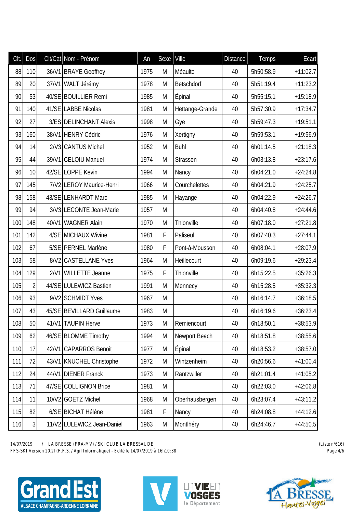| CIt. | Dos             | Clt/Cat Nom - Prénom       | An   | Sexe | Ville           | <b>Distance</b> | Temps     | Ecart      |
|------|-----------------|----------------------------|------|------|-----------------|-----------------|-----------|------------|
| 88   | 110             | 36/V1 BRAYE Geoffrey       | 1975 | M    | Méaulte         | 40              | 5h50:58.9 | $+11:02.7$ |
| 89   | 20 <sup>°</sup> | 37/V1 WALT Jérémy          | 1978 | M    | Betschdorf      | 40              | 5h51:19.4 | $+11:23.2$ |
| 90   | 53              | 40/SE BOUILLIER Remi       | 1985 | M    | Épinal          | 40              | 5h55:15.1 | $+15:18.9$ |
| 91   | 140             | 41/SE LABBE Nicolas        | 1981 | M    | Hettange-Grande | 40              | 5h57:30.9 | $+17:34.7$ |
| 92   | 27              | 3/ES DELINCHANT Alexis     | 1998 | M    | Gye             | 40              | 5h59:47.3 | $+19:51.1$ |
| 93   | 160             | 38/V1 HENRY Cédric         | 1976 | M    | Xertigny        | 40              | 5h59:53.1 | $+19:56.9$ |
| 94   | 14              | 2/V3 CANTUS Michel         | 1952 | M    | <b>Buhl</b>     | 40              | 6h01:14.5 | $+21:18.3$ |
| 95   | 44              | 39/V1 CELOIU Manuel        | 1974 | M    | Strassen        | 40              | 6h03:13.8 | $+23:17.6$ |
| 96   | 10              | 42/SE LOPPE Kevin          | 1994 | M    | Nancy           | 40              | 6h04:21.0 | $+24:24.8$ |
| 97   | 145             | 7/V2 LEROY Maurice-Henri   | 1966 | M    | Courchelettes   | 40              | 6h04:21.9 | $+24:25.7$ |
| 98   | 158             | 43/SE LENHARDT Marc        | 1985 | M    | Hayange         | 40              | 6h04:22.9 | $+24:26.7$ |
| 99   | 94              | 3/V3 LECONTE Jean-Marie    | 1957 | M    |                 | 40              | 6h04:40.8 | $+24:44.6$ |
| 100  | 148             | 40/V1 WAGNER Alain         | 1970 | M    | Thionville      | 40              | 6h07:18.0 | $+27:21.8$ |
| 101  | 142             | 4/SE MICHAUX Wivine        | 1981 | F    | Paliseul        | 40              | 6h07:40.3 | $+27:44.1$ |
| 102  | 67              | 5/SE PERNEL Marlène        | 1980 | F    | Pont-à-Mousson  | 40              | 6h08:04.1 | $+28:07.9$ |
| 103  | 58              | 8/V2 CASTELLANE Yves       | 1964 | M    | Heillecourt     | 40              | 6h09:19.6 | $+29:23.4$ |
| 104  | 129             | 2/V1 WILLETTE Jeanne       | 1975 | F    | Thionville      | 40              | 6h15:22.5 | $+35:26.3$ |
| 105  | $\overline{2}$  | 44/SE LULEWICZ Bastien     | 1991 | M    | Mennecy         | 40              | 6h15:28.5 | $+35:32.3$ |
| 106  | 93              | 9/V2 SCHMIDT Yves          | 1967 | M    |                 | 40              | 6h16:14.7 | $+36:18.5$ |
| 107  | 43              | 45/SE BEVILLARD Guillaume  | 1983 | M    |                 | 40              | 6h16:19.6 | $+36:23.4$ |
| 108  | 50 <sup>1</sup> | 41/V1   TAUPIN Herve       | 1973 | M    | Remiencourt     | 40              | 6h18:50.1 | $+38:53.9$ |
| 109  | 62              | 46/SE BLOMME Timothy       | 1994 | M    | Newport Beach   | 40              | 6h18:51.8 | $+38:55.6$ |
| 110  | 17              | 42/V1 CAPARROS Benoit      | 1977 | M    | Épinal          | 40              | 6h18:53.2 | $+38:57.0$ |
| 111  | 72              | 43/V1 KNUCHEL Christophe   | 1972 | M    | Wintzenheim     | 40              | 6h20:56.6 | $+41:00.4$ |
| 112  | 24              | 44/V1 DIENER Franck        | 1973 | M    | Rantzwiller     | 40              | 6h21:01.4 | $+41:05.2$ |
| 113  | 71              | 47/SE COLLIGNON Brice      | 1981 | M    |                 | 40              | 6h22:03.0 | $+42:06.8$ |
| 114  | 11              | 10/V2 GOETZ Michel         | 1968 | M    | Oberhausbergen  | 40              | 6h23:07.4 | $+43:11.2$ |
| 115  | 82              | 6/SE BICHAT Hélène         | 1981 | F    | Nancy           | 40              | 6h24:08.8 | $+44:12.6$ |
| 116  | $\overline{3}$  | 11/V2 LULEWICZ Jean-Daniel | 1963 | M    | Montlhéry       | 40              | 6h24:46.7 | $+44:50.5$ |

*FFS-SKI Version 20.2f (F.F.S. / Agil Informatique) - Edité le 14/07/2019 à 16h10:38 Page 4/6*





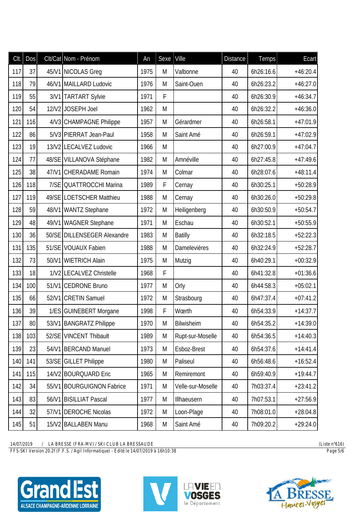| CIt. | Dos | Clt/Cat Nom - Prénom        | An   | Sexe | Ville             | <b>Distance</b> | <b>Temps</b> | Ecart      |
|------|-----|-----------------------------|------|------|-------------------|-----------------|--------------|------------|
| 117  | 37  | 45/V1 NICOLAS Greg          | 1975 | M    | Valbonne          | 40              | 6h26:16.6    | $+46:20.4$ |
| 118  | 79  | 46/V1 MAILLARD Ludovic      | 1976 | M    | Saint-Ouen        | 40              | 6h26:23.2    | $+46:27.0$ |
| 119  | 55  | 3/V1 TARTART Sylvie         | 1971 | F    |                   | 40              | 6h26:30.9    | $+46:34.7$ |
| 120  | 54  | 12/V2 JOSEPH Joel           | 1962 | M    |                   | 40              | 6h26:32.2    | $+46:36.0$ |
| 121  | 116 | 4/V3 CHAMPAGNE Philippe     | 1957 | M    | Gérardmer         | 40              | 6h26:58.1    | $+47:01.9$ |
| 122  | 86  | 5/V3 PIERRAT Jean-Paul      | 1958 | M    | Saint Amé         | 40              | 6h26:59.1    | $+47:02.9$ |
| 123  | 19  | 13/V2 LECALVEZ Ludovic      | 1966 | M    |                   | 40              | 6h27:00.9    | $+47:04.7$ |
| 124  | 77  | 48/SE VILLANOVA Stéphane    | 1982 | M    | Amnéville         | 40              | 6h27:45.8    | $+47:49.6$ |
| 125  | 38  | 47/V1 CHERADAME Romain      | 1974 | M    | Colmar            | 40              | 6h28:07.6    | $+48:11.4$ |
| 126  | 118 | 7/SE QUATTROCCHI Marina     | 1989 | F    | Cernay            | 40              | 6h30:25.1    | $+50:28.9$ |
| 127  | 119 | 49/SE LOETSCHER Matthieu    | 1988 | M    | Cernay            | 40              | 6h30:26.0    | $+50:29.8$ |
| 128  | 59  | 48/V1 WANTZ Stephane        | 1972 | M    | Heiligenberg      | 40              | 6h30:50.9    | $+50:54.7$ |
| 129  | 48  | 49/V1 WAGNER Stephane       | 1971 | M    | Eschau            | 40              | 6h30:52.1    | $+50:55.9$ |
| 130  | 36  | 50/SE DILLENSEGER Alexandre | 1983 | M    | <b>Batilly</b>    | 40              | 6h32:18.5    | $+52:22.3$ |
| 131  | 135 | 51/SE VOUAUX Fabien         | 1988 | M    | Damelevières      | 40              | 6h32:24.9    | $+52:28.7$ |
| 132  | 73  | 50/V1 WIETRICH Alain        | 1975 | M    | Mutzig            | 40              | 6h40:29.1    | $+00:32.9$ |
| 133  | 18  | 1/V2 LECALVEZ Christelle    | 1968 | F    |                   | 40              | 6h41:32.8    | $+01:36.6$ |
| 134  | 100 | 51/V1 CEDRONE Bruno         | 1977 | M    | Orly              | 40              | 6h44:58.3    | $+05:02.1$ |
| 135  | 66  | 52/V1 CRETIN Samuel         | 1972 | M    | Strasbourg        | 40              | 6h47:37.4    | $+07:41.2$ |
| 136  | 39  | 1/ES GUINEBERT Morgane      | 1998 | F    | Wœrth             | 40              | 6h54:33.9    | $+14:37.7$ |
| 137  | 80  | 53/V1   BANGRATZ Philippe   | 1970 | M    | Bilwisheim        | 40              | 6h54:35.2    | $+14:39.0$ |
| 138  | 103 | 52/SE VINCENT Thibault      | 1989 | M    | Rupt-sur-Moselle  | 40              | 6h54:36.5    | $+14:40.3$ |
| 139  | 23  | 54/V1 BERCAND Manuel        | 1973 | M    | Esboz-Brest       | 40              | 6h54:37.6    | $+14:41.4$ |
| 140  | 141 | 53/SE GILLET Philippe       | 1980 | M    | Paliseul          | 40              | 6h56:48.6    | $+16:52.4$ |
| 141  | 115 | 14/V2 BOURQUARD Eric        | 1965 | M    | Remiremont        | 40              | 6h59:40.9    | $+19:44.7$ |
| 142  | 34  | 55/V1 BOURGUIGNON Fabrice   | 1971 | M    | Velle-sur-Moselle | 40              | 7h03:37.4    | $+23:41.2$ |
| 143  | 83  | 56/V1 BISILLIAT Pascal      | 1977 | M    | Illhaeusern       | 40              | 7h07:53.1    | $+27:56.9$ |
| 144  | 32  | 57/V1 DEROCHE Nicolas       | 1972 | M    | Loon-Plage        | 40              | 7h08:01.0    | $+28:04.8$ |
| 145  | 51  | 15/V2 BALLABEN Manu         | 1968 | M    | Saint Amé         | 40              | 7h09:20.2    | $+29:24.0$ |

*FFS-SKI Version 20.2f (F.F.S. / Agil Informatique) - Edité le 14/07/2019 à 16h10:38 Page 5/6*